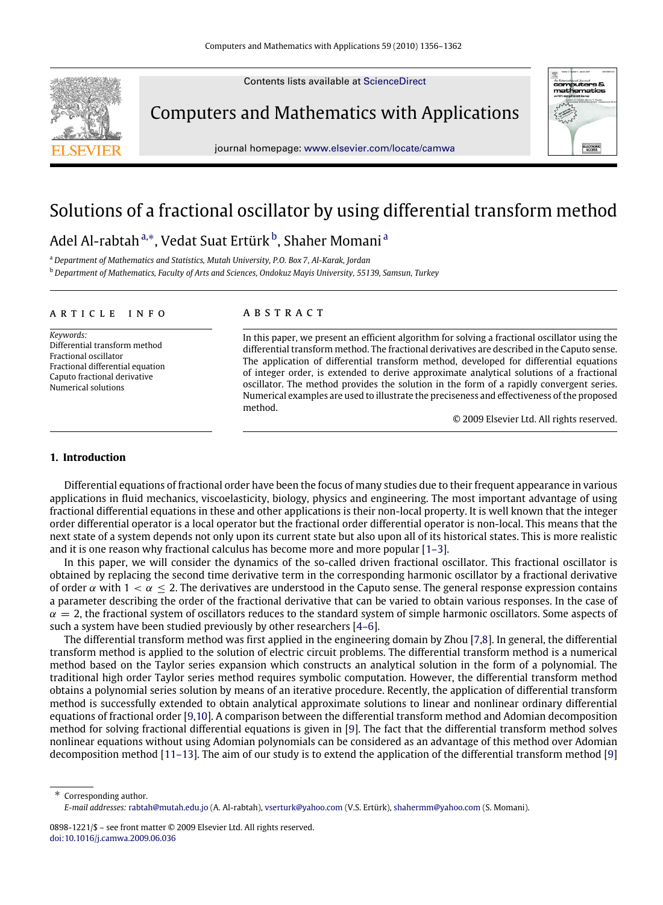Contents lists available at [ScienceDirect](http://www.elsevier.com/locate/camwa)



Computers and Mathematics with Applications

journal homepage: [www.elsevier.com/locate/camwa](http://www.elsevier.com/locate/camwa)



# Solutions of a fractional oscillator by using differential transform method

# Adel Al-ra[b](#page-0-2)t[a](#page-0-0)h™, Vedat Suat Ertürk<sup>b</sup>, Shaher Momani

<span id="page-0-0"></span><sup>a</sup> *Department of Mathematics and Statistics, Mutah University, P.O. Box 7, Al-Karak, Jordan*

<span id="page-0-2"></span><sup>b</sup> *Department of Mathematics, Faculty of Arts and Sciences, Ondokuz Mayis University, 55139, Samsun, Turkey*

#### a r t i c l e i n f o

*Keywords:* Differential transform method Fractional oscillator Fractional differential equation Caputo fractional derivative Numerical solutions

### a b s t r a c t

In this paper, we present an efficient algorithm for solving a fractional oscillator using the differential transform method. The fractional derivatives are described in the Caputo sense. The application of differential transform method, developed for differential equations of integer order, is extended to derive approximate analytical solutions of a fractional oscillator. The method provides the solution in the form of a rapidly convergent series. Numerical examples are used to illustrate the preciseness and effectiveness of the proposed method.

© 2009 Elsevier Ltd. All rights reserved.

#### **1. Introduction**

Differential equations of fractional order have been the focus of many studies due to their frequent appearance in various applications in fluid mechanics, viscoelasticity, biology, physics and engineering. The most important advantage of using fractional differential equations in these and other applications is their non-local property. It is well known that the integer order differential operator is a local operator but the fractional order differential operator is non-local. This means that the next state of a system depends not only upon its current state but also upon all of its historical states. This is more realistic and it is one reason why fractional calculus has become more and more popular [\[1–3\]](#page-6-0).

In this paper, we will consider the dynamics of the so-called driven fractional oscillator. This fractional oscillator is obtained by replacing the second time derivative term in the corresponding harmonic oscillator by a fractional derivative of order α with  $1 < \alpha < 2$ . The derivatives are understood in the Caputo sense. The general response expression contains a parameter describing the order of the fractional derivative that can be varied to obtain various responses. In the case of  $\alpha = 2$ , the fractional system of oscillators reduces to the standard system of simple harmonic oscillators. Some aspects of such a system have been studied previously by other researchers [\[4–6\]](#page-6-1).

The differential transform method was first applied in the engineering domain by Zhou [\[7](#page-6-2)[,8\]](#page-6-3). In general, the differential transform method is applied to the solution of electric circuit problems. The differential transform method is a numerical method based on the Taylor series expansion which constructs an analytical solution in the form of a polynomial. The traditional high order Taylor series method requires symbolic computation. However, the differential transform method obtains a polynomial series solution by means of an iterative procedure. Recently, the application of differential transform method is successfully extended to obtain analytical approximate solutions to linear and nonlinear ordinary differential equations of fractional order [\[9,](#page-6-4)[10\]](#page-6-5). A comparison between the differential transform method and Adomian decomposition method for solving fractional differential equations is given in [\[9\]](#page-6-4). The fact that the differential transform method solves nonlinear equations without using Adomian polynomials can be considered as an advantage of this method over Adomian decomposition method [\[11–13\]](#page-6-6). The aim of our study is to extend the application of the differential transform method [\[9\]](#page-6-4)

<span id="page-0-1"></span>Corresponding author. *E-mail addresses:* [rabtah@mutah.edu.jo](mailto:rabtah@mutah.edu.jo) (A. Al-rabtah), [vserturk@yahoo.com](mailto:vserturk@yahoo.com) (V.S. Ertürk), [shahermm@yahoo.com](mailto:shahermm@yahoo.com) (S. Momani).

<sup>0898-1221/\$ –</sup> see front matter © 2009 Elsevier Ltd. All rights reserved. [doi:10.1016/j.camwa.2009.06.036](http://dx.doi.org/10.1016/j.camwa.2009.06.036)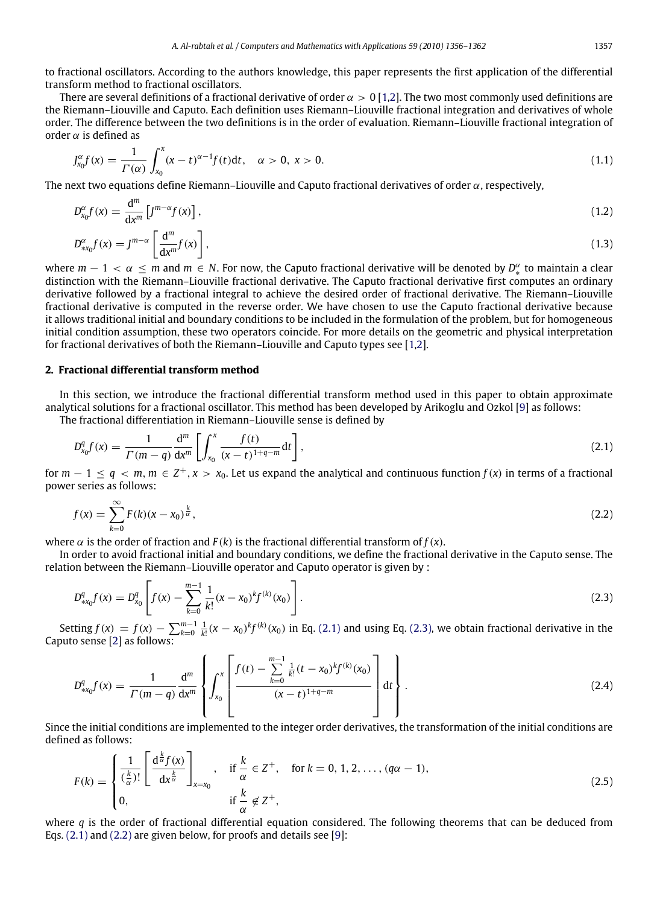to fractional oscillators. According to the authors knowledge, this paper represents the first application of the differential transform method to fractional oscillators.

There are several definitions of a fractional derivative of order  $\alpha > 0$  [\[1](#page-6-0)[,2\]](#page-6-7). The two most commonly used definitions are the Riemann–Liouville and Caputo. Each definition uses Riemann–Liouville fractional integration and derivatives of whole order. The difference between the two definitions is in the order of evaluation. Riemann–Liouville fractional integration of order  $\alpha$  is defined as

$$
J_{x_0}^{\alpha}f(x) = \frac{1}{\Gamma(\alpha)} \int_{x_0}^{x} (x - t)^{\alpha - 1} f(t) dt, \quad \alpha > 0, \ x > 0.
$$
 (1.1)

The next two equations define Riemann–Liouville and Caputo fractional derivatives of order  $\alpha$ , respectively,

$$
D_{x_0}^{\alpha} f(x) = \frac{d^m}{dx^m} \left[ J^{m-\alpha} f(x) \right],
$$
\n
$$
D_{\alpha x_0}^{\alpha} f(x) = J^{m-\alpha} \left[ \frac{d^m}{dx^m} f(x) \right],
$$
\n(1.2)

where  $m - 1 < \alpha \le m$  and  $m \in N$ . For now, the Caputo fractional derivative will be denoted by  $D_*^{\alpha}$  to maintain a clear ∗ distinction with the Riemann–Liouville fractional derivative. The Caputo fractional derivative first computes an ordinary derivative followed by a fractional integral to achieve the desired order of fractional derivative. The Riemann–Liouville fractional derivative is computed in the reverse order. We have chosen to use the Caputo fractional derivative because it allows traditional initial and boundary conditions to be included in the formulation of the problem, but for homogeneous initial condition assumption, these two operators coincide. For more details on the geometric and physical interpretation for fractional derivatives of both the Riemann–Liouville and Caputo types see [\[1](#page-6-0)[,2\]](#page-6-7).

# **2. Fractional differential transform method**

In this section, we introduce the fractional differential transform method used in this paper to obtain approximate analytical solutions for a fractional oscillator. This method has been developed by Arikoglu and Ozkol [\[9\]](#page-6-4) as follows:

The fractional differentiation in Riemann–Liouville sense is defined by

<span id="page-1-0"></span>
$$
D_{x_0}^q f(x) = \frac{1}{\Gamma(m-q)} \frac{d^m}{dx^m} \left[ \int_{x_0}^x \frac{f(t)}{(x-t)^{1+q-m}} dt \right],
$$
\n(2.1)

for  $m-1 \le q < m$ ,  $m \in \mathbb{Z}^+, x > x_0$ . Let us expand the analytical and continuous function  $f(x)$  in terms of a fractional power series as follows:

<span id="page-1-2"></span>
$$
f(x) = \sum_{k=0}^{\infty} F(k)(x - x_0)^{\frac{k}{\alpha}},
$$
\n(2.2)

where  $\alpha$  is the order of fraction and  $F(k)$  is the fractional differential transform of  $f(x)$ .

In order to avoid fractional initial and boundary conditions, we define the fractional derivative in the Caputo sense. The relation between the Riemann–Liouville operator and Caputo operator is given by :

<span id="page-1-1"></span>
$$
D_{*x_0}^q f(x) = D_{x_0}^q \left[ f(x) - \sum_{k=0}^{m-1} \frac{1}{k!} (x - x_0)^k f^{(k)}(x_0) \right].
$$
 (2.3)

Setting  $f(x) = f(x) - \sum_{k=0}^{m-1} \frac{1}{k!} (x - x_0)^k f^{(k)}(x_0)$  in Eq. [\(2.1\)](#page-1-0) and using Eq. [\(2.3\),](#page-1-1) we obtain fractional derivative in the Caputo sense [\[2\]](#page-6-7) as follows:

$$
D_{*x_0}^q f(x) = \frac{1}{\Gamma(m-q)} \frac{d^m}{dx^m} \left\{ \int_{x_0}^x \left[ \frac{f(t) - \sum_{k=0}^{m-1} \frac{1}{k!} (t - x_0)^k f^{(k)}(x_0)}{(x-t)^{1+q-m}} \right] dt \right\}.
$$
 (2.4)

Since the initial conditions are implemented to the integer order derivatives, the transformation of the initial conditions are defined as follows:

<span id="page-1-3"></span>
$$
F(k) = \begin{cases} \frac{1}{(\frac{k}{\alpha})!} \left[ \frac{d^{\frac{k}{\alpha}} f(x)}{dx^{\frac{k}{\alpha}}} \right]_{x=x_0}, & \text{if } \frac{k}{\alpha} \in \mathbb{Z}^+, \quad \text{for } k = 0, 1, 2, \dots, (q\alpha - 1),\\ 0, & \text{if } \frac{k}{\alpha} \notin \mathbb{Z}^+, \end{cases} \tag{2.5}
$$

where *q* is the order of fractional differential equation considered. The following theorems that can be deduced from Eqs. [\(2.1\)](#page-1-0) and [\(2.2\)](#page-1-2) are given below, for proofs and details see [\[9\]](#page-6-4):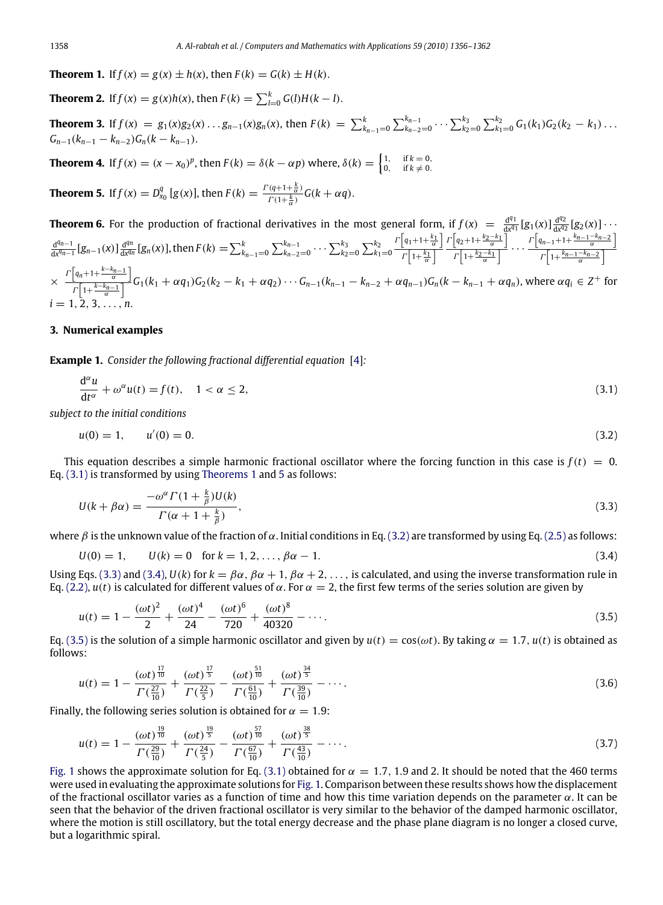<span id="page-2-1"></span>**Theorem 1.** If  $f(x) = g(x) \pm h(x)$ , then  $F(k) = G(k) \pm H(k)$ .

<span id="page-2-8"></span>**Theorem 2.** If  $f(x) = g(x)h(x)$ , then  $F(k) = \sum_{l=0}^{k} G(l)H(k-l)$ .

**Theorem 3.** If  $f(x) = g_1(x)g_2(x) \dots g_{n-1}(x)g_n(x)$ , then  $F(k) = \sum_{k_{n-1}=0}^{k} \sum_{k_{n-2}=0}^{k_{n-1}} \cdots \sum_{k_2=0}^{k_3} \sum_{k_1=0}^{k_2} G_1(k_1)G_2(k_2 - k_1) \dots$  $G_{n-1}(k_{n-1} - k_{n-2})G_n(k - k_{n-1}).$ 

<span id="page-2-7"></span>**Theorem 4.** If  $f(x) = (x - x_0)^p$ , then  $F(k) = \delta(k - \alpha p)$  where,  $\delta(k) = \begin{cases} 1, & \text{if } k = 0, \\ 0, & \text{if } k \neq 0. \end{cases}$ 

<span id="page-2-2"></span>**Theorem 5.** If  $f(x) = D_{x_0}^q [g(x)]$ , then  $F(k) = \frac{\Gamma(q+1+\frac{k}{\alpha})}{\Gamma(1+\frac{k}{\alpha})}$  $\frac{(q+1+\frac{1}{\alpha})}{\Gamma(1+\frac{k}{\alpha})}G(k+\alpha q).$ 

**Theorem 6.** For the production of fractional derivatives in the most general form, if  $f(x) = \frac{d^{q_1}}{dx^{q_1}} [g_1(x)] \frac{d^{q_2}}{dx^{q_2}} [g_2(x)] \cdots$ d *q*1  $\frac{d^{q_1}}{dx^{q_1}} [g_1(x)] \frac{d^{q_2}}{dx^{q_2}}$  $dx^{q_2}$  $\frac{d^{q_n-1}}{dx^{q_n-1}} [g_{n-1}(x)] \frac{d^{q_n}}{dx^{q_n}}$  $\frac{d^{qn}}{dx^{qn}}$  [ $g_n(x)$ ], then  $F(k) = \sum_{k_{n-1}=0}^{k} \sum_{k_{n-2}=0}^{k_{n-1}} \cdots \sum_{k_2=0}^{k_3} \sum_{k_1=0}^{k_2}$  $\Gamma\left[q_1+1+\frac{k_1}{\alpha}\right]$  $\Gamma\left[1+\frac{k_1}{\alpha}\right]$  $\Gamma\left[q_2+1+\frac{k_2-k_1}{\alpha}\right]$  $\frac{1}{\Gamma\left[1+\frac{k_2-k_1}{\alpha}\right]}$  · · · ·  $\Gamma\left[q_{n-1}+1+\frac{k_{n-1}-k_{n-2}}{\alpha}\right]$  $\Gamma\left[1+\frac{k_{n-1}-k_{n-2}}{\alpha}\right]$  $\times \frac{1}{r\left[1+\frac{k-k_{n-1}}{\alpha}\right]}G_{1}(k_{1}+\alpha q_{1})G_{2}(k_{2}-k_{1}+\alpha q_{2})\cdots G_{n-1}(k_{n-1}-k_{n-2}+\alpha q_{n-1})G_{n}(k-k_{n-1}+\alpha q_{n}),$  where  $\alpha q_{i}\in Z^{+}$  for  $\Gamma\left[q_n+1+\frac{k-k_{n-1}}{\alpha}\right]$  $i = 1, 2, 3, \ldots, n$ .

# **3. Numerical examples**

**Example 1.** *Consider the following fractional differential equation* [\[4\]](#page-6-1)*:*

<span id="page-2-0"></span>
$$
\frac{d^{\alpha}u}{dt^{\alpha}} + \omega^{\alpha}u(t) = f(t), \quad 1 < \alpha \le 2,
$$
\n(3.1)

*subject to the initial conditions*

<span id="page-2-3"></span>
$$
u(0) = 1, \qquad u'(0) = 0. \tag{3.2}
$$

This equation describes a simple harmonic fractional oscillator where the forcing function in this case is  $f(t) = 0$ . Eq. [\(3.1\)](#page-2-0) is transformed by using [Theorems 1](#page-2-1) and [5](#page-2-2) as follows:

<span id="page-2-4"></span>
$$
U(k + \beta \alpha) = \frac{-\omega^{\alpha} \Gamma(1 + \frac{k}{\beta}) U(k)}{\Gamma(\alpha + 1 + \frac{k}{\beta})},
$$
\n(3.3)

where  $\beta$  is the unknown value of the fraction of  $\alpha$ . Initial conditions in Eq. [\(3.2\)](#page-2-3) are transformed by using Eq. [\(2.5\)](#page-1-3) as follows:

<span id="page-2-5"></span>
$$
U(0) = 1, \qquad U(k) = 0 \quad \text{for } k = 1, 2, \dots, \beta \alpha - 1. \tag{3.4}
$$

Using Eqs. [\(3.3\)](#page-2-4) and [\(3.4\),](#page-2-5)  $U(k)$  for  $k = \beta \alpha$ ,  $\beta \alpha + 1$ ,  $\beta \alpha + 2$ , ..., is calculated, and using the inverse transformation rule in Eq. [\(2.2\),](#page-1-2)  $u(t)$  is calculated for different values of  $\alpha$ . For  $\alpha = 2$ , the first few terms of the series solution are given by

<span id="page-2-6"></span>
$$
u(t) = 1 - \frac{(\omega t)^2}{2} + \frac{(\omega t)^4}{24} - \frac{(\omega t)^6}{720} + \frac{(\omega t)^8}{40320} - \dotsb
$$
 (3.5)

Eq. [\(3.5\)](#page-2-6) is the solution of a simple harmonic oscillator and given by  $u(t) = cos(\omega t)$ . By taking  $\alpha = 1.7$ ,  $u(t)$  is obtained as follows:

$$
u(t) = 1 - \frac{(\omega t)^{\frac{17}{10}}}{\Gamma(\frac{27}{10})} + \frac{(\omega t)^{\frac{17}{5}}}{\Gamma(\frac{22}{5})} - \frac{(\omega t)^{\frac{51}{10}}}{\Gamma(\frac{61}{10})} + \frac{(\omega t)^{\frac{34}{5}}}{\Gamma(\frac{30}{10})} - \cdots
$$
\n(3.6)

Finally, the following series solution is obtained for  $\alpha = 1.9$ :

$$
u(t) = 1 - \frac{(\omega t)^{\frac{19}{10}}}{\Gamma(\frac{29}{10})} + \frac{(\omega t)^{\frac{19}{5}}}{\Gamma(\frac{24}{5})} - \frac{(\omega t)^{\frac{57}{10}}}{\Gamma(\frac{67}{10})} + \frac{(\omega t)^{\frac{38}{5}}}{\Gamma(\frac{43}{10})} - \cdots
$$
\n(3.7)

[Fig. 1](#page-3-0) shows the approximate solution for Eq. [\(3.1\)](#page-2-0) obtained for  $\alpha = 1.7$ , 1.9 and 2. It should be noted that the 460 terms were used in evaluating the approximate solutions for [Fig. 1.](#page-3-0) Comparison between these results shows how the displacement of the fractional oscillator varies as a function of time and how this time variation depends on the parameter  $\alpha$ . It can be seen that the behavior of the driven fractional oscillator is very similar to the behavior of the damped harmonic oscillator, where the motion is still oscillatory, but the total energy decrease and the phase plane diagram is no longer a closed curve, but a logarithmic spiral.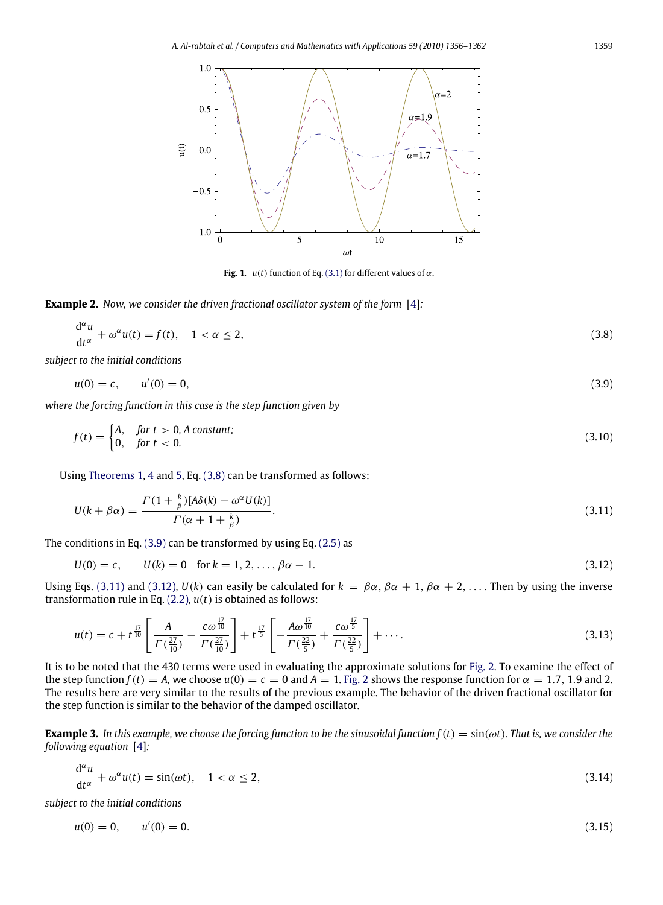<span id="page-3-0"></span>

<span id="page-3-4"></span><span id="page-3-3"></span><span id="page-3-2"></span><span id="page-3-1"></span>**Fig. 1.**  $u(t)$  function of Eq. [\(3.1\)](#page-2-0) for different values of  $\alpha$ .

**Example 2.** *Now, we consider the driven fractional oscillator system of the form* [\[4\]](#page-6-1)*:*

$$
\frac{d^{\alpha}u}{dt^{\alpha}} + \omega^{\alpha}u(t) = f(t), \quad 1 < \alpha \le 2,
$$
\n(3.8)

*subject to the initial conditions*

$$
u(0) = c, \qquad u'(0) = 0,\tag{3.9}
$$

*where the forcing function in this case is the step function given by*

$$
f(t) = \begin{cases} A, & \text{for } t > 0, A \text{ constant;} \\ 0, & \text{for } t < 0. \end{cases}
$$
 (3.10)

Using [Theorems 1,](#page-2-1) [4](#page-2-7) and [5,](#page-2-2) Eq. [\(3.8\)](#page-3-1) can be transformed as follows:

$$
U(k + \beta \alpha) = \frac{\Gamma(1 + \frac{k}{\beta})[A\delta(k) - \omega^{\alpha}U(k)]}{\Gamma(\alpha + 1 + \frac{k}{\beta})}.
$$
\n(3.11)

The conditions in Eq. [\(3.9\)](#page-3-2) can be transformed by using Eq. [\(2.5\)](#page-1-3) as

$$
U(0) = c, \qquad U(k) = 0 \quad \text{for } k = 1, 2, \dots, \beta \alpha - 1. \tag{3.12}
$$

Using Eqs. [\(3.11\)](#page-3-3) and [\(3.12\),](#page-3-4)  $U(k)$  can easily be calculated for  $k = \beta \alpha$ ,  $\beta \alpha + 1$ ,  $\beta \alpha + 2$ , ... . Then by using the inverse transformation rule in Eq. [\(2.2\),](#page-1-2) *u*(*t*) is obtained as follows:

$$
u(t) = c + t^{\frac{17}{10}} \left[ \frac{A}{\Gamma(\frac{27}{10})} - \frac{c\omega^{\frac{17}{10}}}{\Gamma(\frac{27}{10})} \right] + t^{\frac{17}{5}} \left[ -\frac{A\omega^{\frac{17}{10}}}{\Gamma(\frac{22}{5})} + \frac{c\omega^{\frac{17}{5}}}{\Gamma(\frac{22}{5})} \right] + \cdots
$$
 (3.13)

It is to be noted that the 430 terms were used in evaluating the approximate solutions for [Fig. 2.](#page-4-0) To examine the effect of the step function  $f(t) = A$ , we choose  $u(0) = c = 0$  and  $A = 1$ . [Fig. 2](#page-4-0) shows the response function for  $\alpha = 1.7$ , 1.9 and 2. The results here are very similar to the results of the previous example. The behavior of the driven fractional oscillator for the step function is similar to the behavior of the damped oscillator.

**Example 3.** In this example, we choose the forcing function to be the sinusoidal function  $f(t) = \sin(\omega t)$ . That is, we consider the *following equation* [\[4\]](#page-6-1)*:*

<span id="page-3-5"></span>
$$
\frac{d^{\alpha}u}{dt^{\alpha}} + \omega^{\alpha}u(t) = \sin(\omega t), \quad 1 < \alpha \le 2,
$$
\n(3.14)

*subject to the initial conditions*

<span id="page-3-6"></span>
$$
u(0) = 0, \qquad u'(0) = 0. \tag{3.15}
$$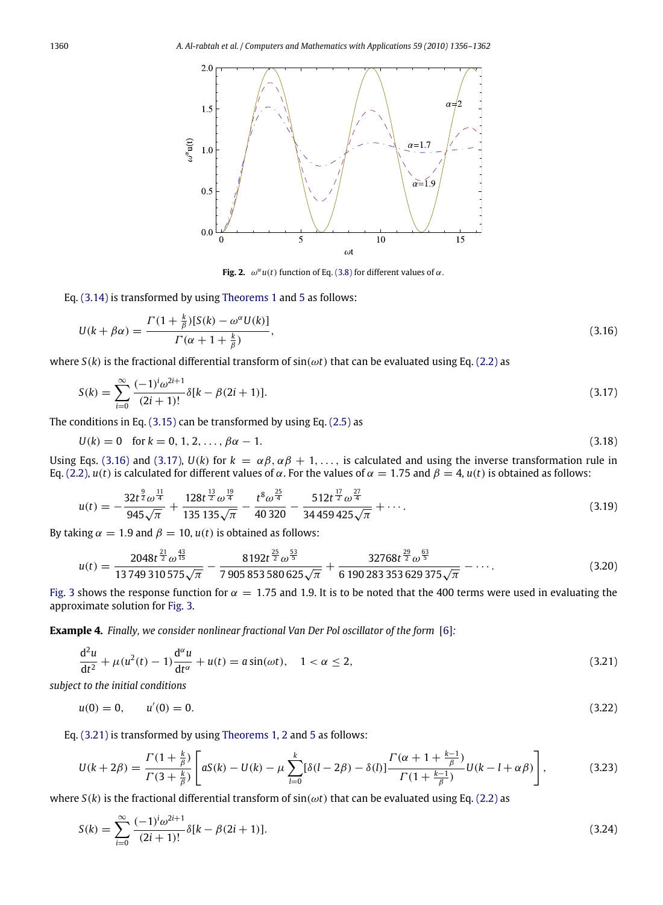<span id="page-4-0"></span>1360 *A. Al-rabtah et al. / Computers and Mathematics with Applications 59 (2010) 1356–1362*



<span id="page-4-2"></span><span id="page-4-1"></span>**Fig. 2.**  $\omega^{\alpha}u(t)$  function of Eq. [\(3.8\)](#page-3-1) for different values of  $\alpha$ .

Eq. [\(3.14\)](#page-3-5) is transformed by using [Theorems 1](#page-2-1) and [5](#page-2-2) as follows:

$$
U(k + \beta \alpha) = \frac{\Gamma(1 + \frac{k}{\beta})[S(k) - \omega^{\alpha}U(k)]}{\Gamma(\alpha + 1 + \frac{k}{\beta})},
$$
\n(3.16)

where  $S(k)$  is the fractional differential transform of  $sin(\omega t)$  that can be evaluated using Eq. [\(2.2\)](#page-1-2) as

$$
S(k) = \sum_{i=0}^{\infty} \frac{(-1)^i \omega^{2i+1}}{(2i+1)!} \delta[k - \beta(2i+1)].
$$
\n(3.17)

The conditions in Eq. [\(3.15\)](#page-3-6) can be transformed by using Eq. [\(2.5\)](#page-1-3) as

$$
U(k) = 0 \text{ for } k = 0, 1, 2, \dots, \beta \alpha - 1. \tag{3.18}
$$

Using Eqs. [\(3.16\)](#page-4-1) and [\(3.17\),](#page-4-2)  $U(k)$  for  $k = \alpha \beta, \alpha \beta + 1, \ldots$ , is calculated and using the inverse transformation rule in Eq. [\(2.2\),](#page-1-2) *u*(*t*) is calculated for different values of α. For the values of α = 1.75 and  $β = 4$ , *u*(*t*) is obtained as follows:

$$
u(t) = -\frac{32t^{\frac{9}{2}}\omega^{\frac{11}{4}}}{945\sqrt{\pi}} + \frac{128t^{\frac{19}{2}}\omega^{\frac{19}{4}}}{135\,135\sqrt{\pi}} - \frac{t^8\omega^{\frac{25}{4}}}{40\,320} - \frac{512t^{\frac{17}{2}}\omega^{\frac{27}{4}}}{34\,459\,425\sqrt{\pi}} + \cdots
$$
\n(3.19)

By taking  $\alpha = 1.9$  and  $\beta = 10$ ,  $u(t)$  is obtained as follows:

$$
u(t) = \frac{2048t^{\frac{21}{2}}\omega^{\frac{43}{15}}}{13749310575\sqrt{\pi}} - \frac{8192t^{\frac{25}{2}}\omega^{\frac{53}{5}}}{7\,905\,853\,580\,625\sqrt{\pi}} + \frac{32768t^{\frac{29}{2}}\omega^{\frac{63}{5}}}{6\,190\,283\,353\,629\,375\sqrt{\pi}} - \cdots
$$
\n(3.20)

[Fig. 3](#page-5-0) shows the response function for  $\alpha = 1.75$  and 1.9. It is to be noted that the 400 terms were used in evaluating the approximate solution for [Fig. 3.](#page-5-0)

**Example 4.** *Finally, we consider nonlinear fractional Van Der Pol oscillator of the form* [\[6\]](#page-6-8)*:*

<span id="page-4-3"></span>
$$
\frac{d^2u}{dt^2} + \mu(u^2(t) - 1)\frac{d^{\alpha}u}{dt^{\alpha}} + u(t) = a\sin(\omega t), \quad 1 < \alpha \le 2,\tag{3.21}
$$

*subject to the initial conditions*

$$
u(0) = 0, \qquad u'(0) = 0. \tag{3.22}
$$

Eq. [\(3.21\)](#page-4-3) is transformed by using [Theorems 1,](#page-2-1) [2](#page-2-8) and [5](#page-2-2) as follows:

<span id="page-4-5"></span><span id="page-4-4"></span>
$$
U(k+2\beta) = \frac{\Gamma(1+\frac{k}{\beta})}{\Gamma(3+\frac{k}{\beta})} \left[ aS(k) - U(k) - \mu \sum_{l=0}^{k} [\delta(l-2\beta) - \delta(l)] \frac{\Gamma(\alpha+1+\frac{k-1}{\beta})}{\Gamma(1+\frac{k-1}{\beta})} U(k-l+\alpha\beta) \right],
$$
(3.23)

where  $S(k)$  is the fractional differential transform of  $sin(\omega t)$  that can be evaluated using Eq. [\(2.2\)](#page-1-2) as

$$
S(k) = \sum_{i=0}^{\infty} \frac{(-1)^i \omega^{2i+1}}{(2i+1)!} \delta[k - \beta(2i+1)].
$$
\n(3.24)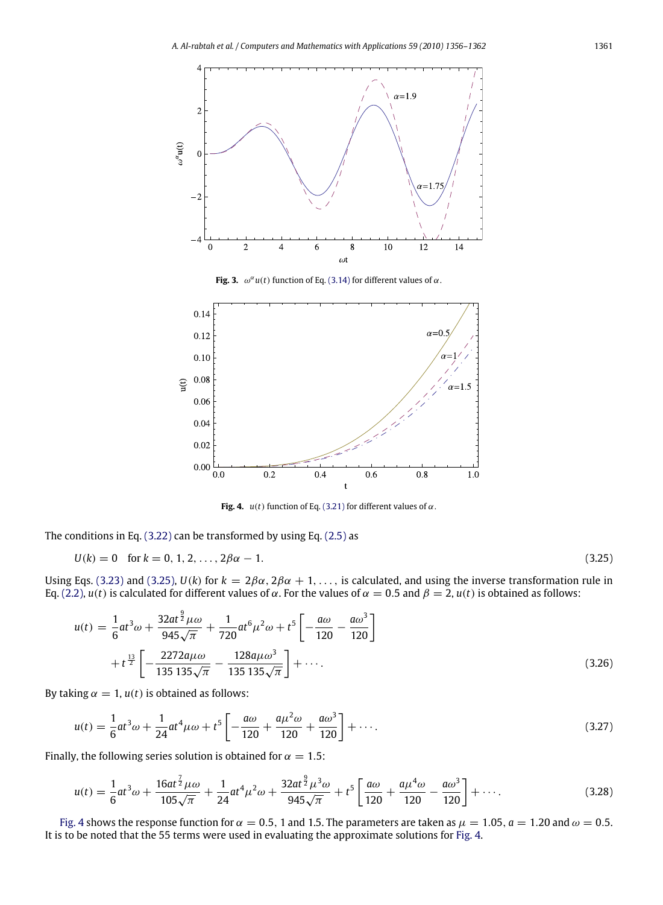<span id="page-5-0"></span>

**Fig. 3.**  $\omega^{\alpha}u(t)$  function of Eq. [\(3.14\)](#page-3-5) for different values of  $\alpha$ .

<span id="page-5-2"></span>

<span id="page-5-1"></span>**Fig. 4.**  $u(t)$  function of Eq. [\(3.21\)](#page-4-3) for different values of  $\alpha$ .

The conditions in Eq. [\(3.22\)](#page-4-4) can be transformed by using Eq. [\(2.5\)](#page-1-3) as

$$
U(k) = 0 \quad \text{for } k = 0, 1, 2, \dots, 2\beta\alpha - 1. \tag{3.25}
$$

Using Eqs. [\(3.23\)](#page-4-5) and [\(3.25\),](#page-5-1)  $U(k)$  for  $k = 2\beta\alpha$ ,  $2\beta\alpha + 1, \ldots$ , is calculated, and using the inverse transformation rule in Eq. [\(2.2\),](#page-1-2) *u*(*t*) is calculated for different values of α. For the values of α = 0.5 and  $β = 2$ , *u*(*t*) is obtained as follows:

$$
u(t) = \frac{1}{6}at^3\omega + \frac{32at^{\frac{9}{2}}\mu\omega}{945\sqrt{\pi}} + \frac{1}{720}at^6\mu^2\omega + t^5 \left[ -\frac{a\omega}{120} - \frac{a\omega^3}{120} \right] + t^{\frac{13}{2}} \left[ -\frac{2272a\mu\omega}{135135\sqrt{\pi}} - \frac{128a\mu\omega^3}{135135\sqrt{\pi}} \right] + \cdots
$$
 (3.26)

By taking  $\alpha = 1$ ,  $u(t)$  is obtained as follows:

$$
u(t) = \frac{1}{6}at^3\omega + \frac{1}{24}at^4\mu\omega + t^5 \left[ -\frac{a\omega}{120} + \frac{a\mu^2\omega}{120} + \frac{a\omega^3}{120} \right] + \cdots.
$$
 (3.27)

Finally, the following series solution is obtained for  $\alpha = 1.5$ :

$$
u(t) = \frac{1}{6}at^3\omega + \frac{16at^{\frac{7}{2}}\mu\omega}{105\sqrt{\pi}} + \frac{1}{24}at^4\mu^2\omega + \frac{32at^{\frac{9}{2}}\mu^3\omega}{945\sqrt{\pi}} + t^5 \left[\frac{a\omega}{120} + \frac{a\mu^4\omega}{120} - \frac{a\omega^3}{120}\right] + \cdots
$$
 (3.28)

[Fig. 4](#page-5-2) shows the response function for  $\alpha = 0.5$ , 1 and 1.5. The parameters are taken as  $\mu = 1.05$ ,  $a = 1.20$  and  $\omega = 0.5$ . It is to be noted that the 55 terms were used in evaluating the approximate solutions for [Fig. 4.](#page-5-2)